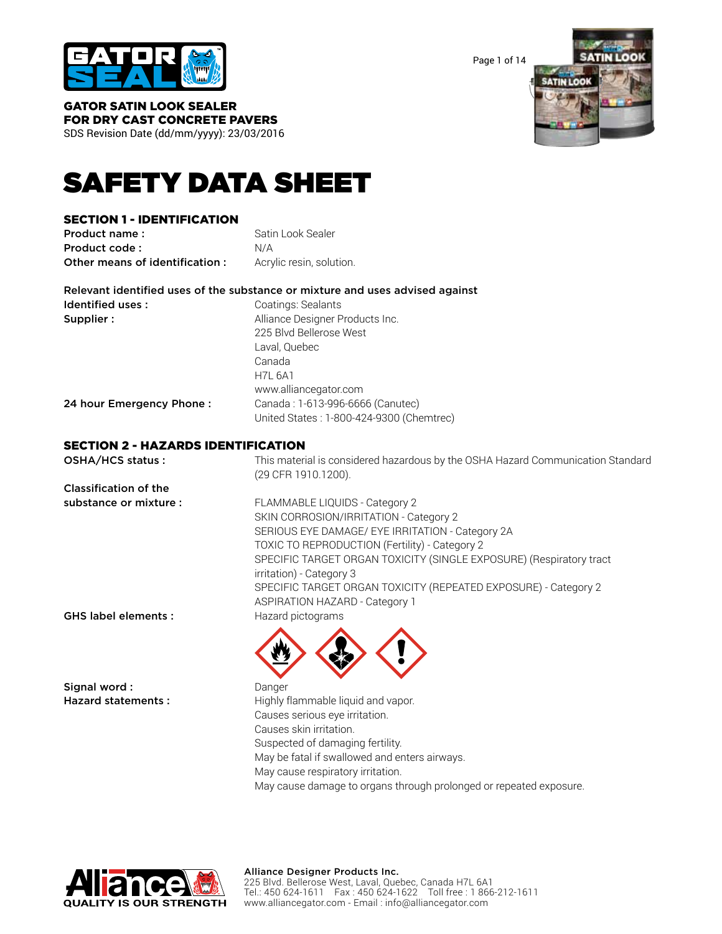

Page 1 of 14



GATOR SATIN LOOK SEALER FOR DRY CAST CONCRETE PAVERS

SDS Revision Date (dd/mm/yyyy): 23/03/2016

# SAFETY DATA SHEET

## SECTION 1 - IDENTIFICATION

**Product name:** Satin Look Sealer Product code : N/A Other means of identification : Acrylic resin, solution.

|                   | Relevant identified uses of the substance or mixture and uses advised against |
|-------------------|-------------------------------------------------------------------------------|
| Identified uses : | Coatings: Sealants                                                            |
| <b>Supplier :</b> | Alliance Designer Products Inc.                                               |
|                   | 225 Blvd Bellerose West                                                       |
|                   | Laval. Quebec                                                                 |
|                   | Canada                                                                        |

H7L 6A1

24 hour Emergency Phone : Canada : 1-613-996-6666 (Canutec)

United States : 1-800-424-9300 (Chemtrec)

www.alliancegator.com

## SECTION 2 - HAZARDS IDENTIFICATION

| OSHA/HCS status:             | This material is considered hazardous by the OSHA Hazard Communication Standard<br>(29 CFR 1910.1200). |
|------------------------------|--------------------------------------------------------------------------------------------------------|
| <b>Classification of the</b> |                                                                                                        |
| substance or mixture :       | FLAMMABLE LIQUIDS - Category 2                                                                         |
|                              | SKIN CORROSION/IRRITATION - Category 2                                                                 |
|                              | SERIOUS EYE DAMAGE/ EYE IRRITATION - Category 2A                                                       |
|                              | TOXIC TO REPRODUCTION (Fertility) - Category 2                                                         |
|                              | SPECIFIC TARGET ORGAN TOXICITY (SINGLE EXPOSURE) (Respiratory tract                                    |
|                              | irritation) - Category 3                                                                               |
|                              | SPECIFIC TARGET ORGAN TOXICITY (REPEATED EXPOSURE) - Category 2                                        |
|                              | <b>ASPIRATION HAZARD - Category 1</b>                                                                  |
| <b>GHS label elements:</b>   | Hazard pictograms                                                                                      |
|                              |                                                                                                        |
| Signal word:                 | Danger                                                                                                 |
| <b>Hazard statements:</b>    | Highly flammable liquid and vapor.                                                                     |
|                              | Causes serious eye irritation.                                                                         |
|                              | Causes skin irritation.                                                                                |

May be fatal if swallowed and enters airways.

May cause respiratory irritation.

Suspected of damaging fertility.

May cause damage to organs through prolonged or repeated exposure.

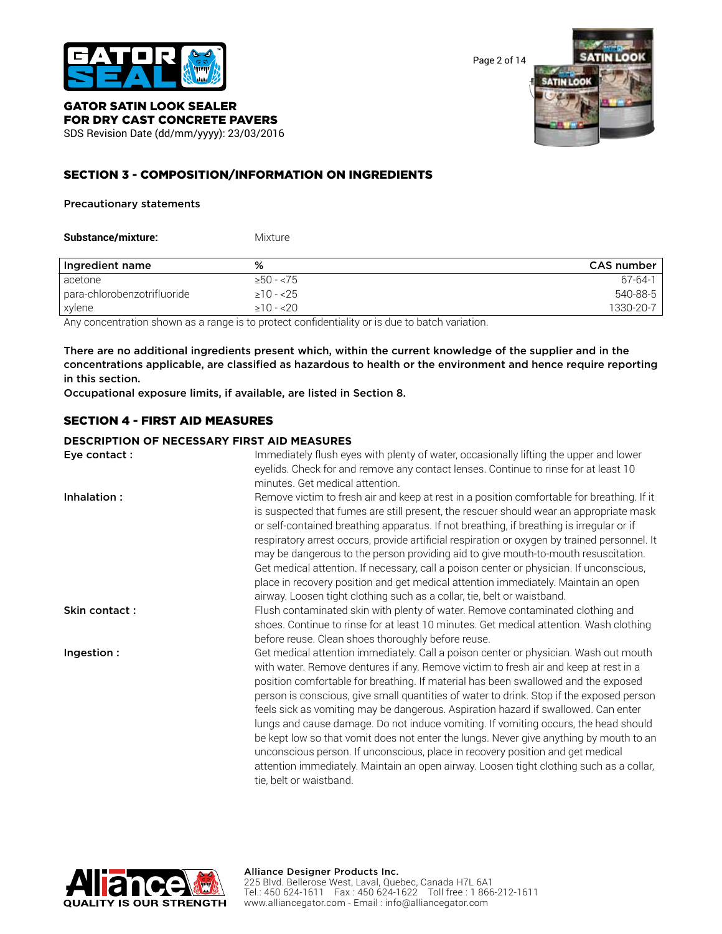

Page 2 of 14



# GATOR SATIN LOOK SEALER FOR DRY CAST CONCRETE PAVERS

SDS Revision Date (dd/mm/yyyy): 23/03/2016

## SECTION 3 - COMPOSITION/INFORMATION ON INGREDIENTS

#### Precautionary statements

| Substance/mixture: | Mixture |
|--------------------|---------|
|                    |         |

| Ingredient name             | %                                                                                           | CAS number    |
|-----------------------------|---------------------------------------------------------------------------------------------|---------------|
| acetone                     | $>50 - 75$                                                                                  | $67 - 64 - 1$ |
| para-chlorobenzotrifluoride | $\geq$ 10 - <25                                                                             | 540-88-5      |
| xylene                      | $>10 - 20$                                                                                  | 1330-20-7     |
|                             | . Appleannachtaireach anns an anns an chaideach an Galaistiche an is dua sa batalan iadair. |               |

Any concentration shown as a range is to protect confidentiality or is due to batch variation.

There are no additional ingredients present which, within the current knowledge of the supplier and in the concentrations applicable, are classified as hazardous to health or the environment and hence require reporting in this section.

Occupational exposure limits, if available, are listed in Section 8.

## SECTION 4 - FIRST AID MEASURES

## **DESCRIPTION OF NECESSARY FIRST AID MEASURES**

| Eye contact:  | Immediately flush eyes with plenty of water, occasionally lifting the upper and lower<br>eyelids. Check for and remove any contact lenses. Continue to rinse for at least 10<br>minutes. Get medical attention.                                                                                                                                                                                                                                                                                                                                                                                                                                                                                                                                                                                                                               |
|---------------|-----------------------------------------------------------------------------------------------------------------------------------------------------------------------------------------------------------------------------------------------------------------------------------------------------------------------------------------------------------------------------------------------------------------------------------------------------------------------------------------------------------------------------------------------------------------------------------------------------------------------------------------------------------------------------------------------------------------------------------------------------------------------------------------------------------------------------------------------|
| Inhalation:   | Remove victim to fresh air and keep at rest in a position comfortable for breathing. If it<br>is suspected that fumes are still present, the rescuer should wear an appropriate mask<br>or self-contained breathing apparatus. If not breathing, if breathing is irregular or if<br>respiratory arrest occurs, provide artificial respiration or oxygen by trained personnel. It<br>may be dangerous to the person providing aid to give mouth-to-mouth resuscitation.<br>Get medical attention. If necessary, call a poison center or physician. If unconscious,<br>place in recovery position and get medical attention immediately. Maintain an open<br>airway. Loosen tight clothing such as a collar, tie, belt or waistband.                                                                                                            |
| Skin contact: | Flush contaminated skin with plenty of water. Remove contaminated clothing and<br>shoes. Continue to rinse for at least 10 minutes. Get medical attention. Wash clothing<br>before reuse. Clean shoes thoroughly before reuse.                                                                                                                                                                                                                                                                                                                                                                                                                                                                                                                                                                                                                |
| Ingestion:    | Get medical attention immediately. Call a poison center or physician. Wash out mouth<br>with water. Remove dentures if any. Remove victim to fresh air and keep at rest in a<br>position comfortable for breathing. If material has been swallowed and the exposed<br>person is conscious, give small quantities of water to drink. Stop if the exposed person<br>feels sick as vomiting may be dangerous. Aspiration hazard if swallowed. Can enter<br>lungs and cause damage. Do not induce vomiting. If vomiting occurs, the head should<br>be kept low so that vomit does not enter the lungs. Never give anything by mouth to an<br>unconscious person. If unconscious, place in recovery position and get medical<br>attention immediately. Maintain an open airway. Loosen tight clothing such as a collar,<br>tie, belt or waistband. |

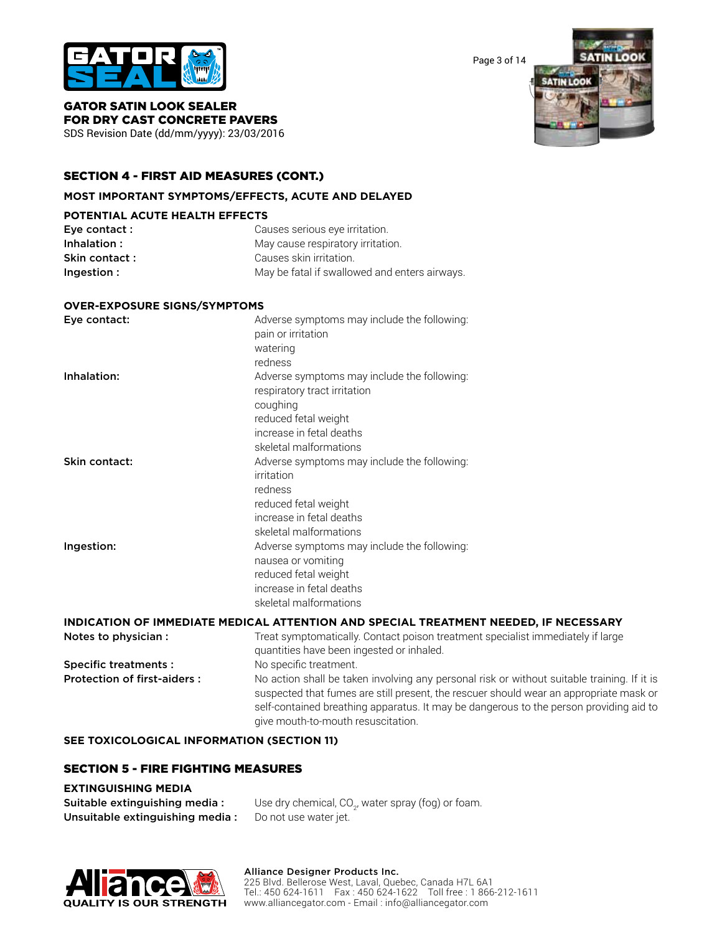

Page 3 of 14



GATOR SATIN LOOK SEALER FOR DRY CAST CONCRETE PAVERS

SDS Revision Date (dd/mm/yyyy): 23/03/2016

## SECTION 4 - FIRST AID MEASURES (CONT.)

#### **MOST IMPORTANT SYMPTOMS/EFFECTS, ACUTE AND DELAYED**

#### **POTENTIAL ACUTE HEALTH EFFECTS**

| Eye contact :  | Causes serious eye irritation.                |
|----------------|-----------------------------------------------|
| Inhalation:    | May cause respiratory irritation.             |
| Skin contact : | Causes skin irritation.                       |
| Ingestion :    | May be fatal if swallowed and enters airways. |

#### **OVER-EXPOSURE SIGNS/SYMPTOMS**

| Eye contact:  | Adverse symptoms may include the following:<br>pain or irritation<br>watering<br>redness                                                                                     |
|---------------|------------------------------------------------------------------------------------------------------------------------------------------------------------------------------|
| Inhalation:   | Adverse symptoms may include the following:<br>respiratory tract irritation<br>coughing<br>reduced fetal weight<br>increase in fetal deaths                                  |
| Skin contact: | skeletal malformations<br>Adverse symptoms may include the following:<br>irritation<br>redness<br>reduced fetal weight<br>increase in fetal deaths<br>skeletal malformations |
| Ingestion:    | Adverse symptoms may include the following:<br>nausea or vomiting<br>reduced fetal weight<br>increase in fetal deaths<br>skeletal malformations                              |

#### **INDICATION OF IMMEDIATE MEDICAL ATTENTION AND SPECIAL TREATMENT NEEDED, IF NECESSARY**

| Notes to physician :               | Treat symptomatically. Contact poison treatment specialist immediately if large<br>quantities have been ingested or inhaled.                                                                                                                                                                                          |
|------------------------------------|-----------------------------------------------------------------------------------------------------------------------------------------------------------------------------------------------------------------------------------------------------------------------------------------------------------------------|
| <b>Specific treatments:</b>        | No specific treatment.                                                                                                                                                                                                                                                                                                |
| <b>Protection of first-aiders:</b> | No action shall be taken involving any personal risk or without suitable training. If it is<br>suspected that fumes are still present, the rescuer should wear an appropriate mask or<br>self-contained breathing apparatus. It may be dangerous to the person providing aid to<br>give mouth-to-mouth resuscitation. |

#### **SEE TOXICOLOGICAL INFORMATION (SECTION 11)**

#### SECTION 5 - FIRE FIGHTING MEASURES

#### **EXTINGUISHING MEDIA**

| Suitable extinguishing media:   | Use dry chemical, CO <sub>2</sub> , water spray (fog) or foam. |
|---------------------------------|----------------------------------------------------------------|
| Unsuitable extinguishing media: | Do not use water jet.                                          |

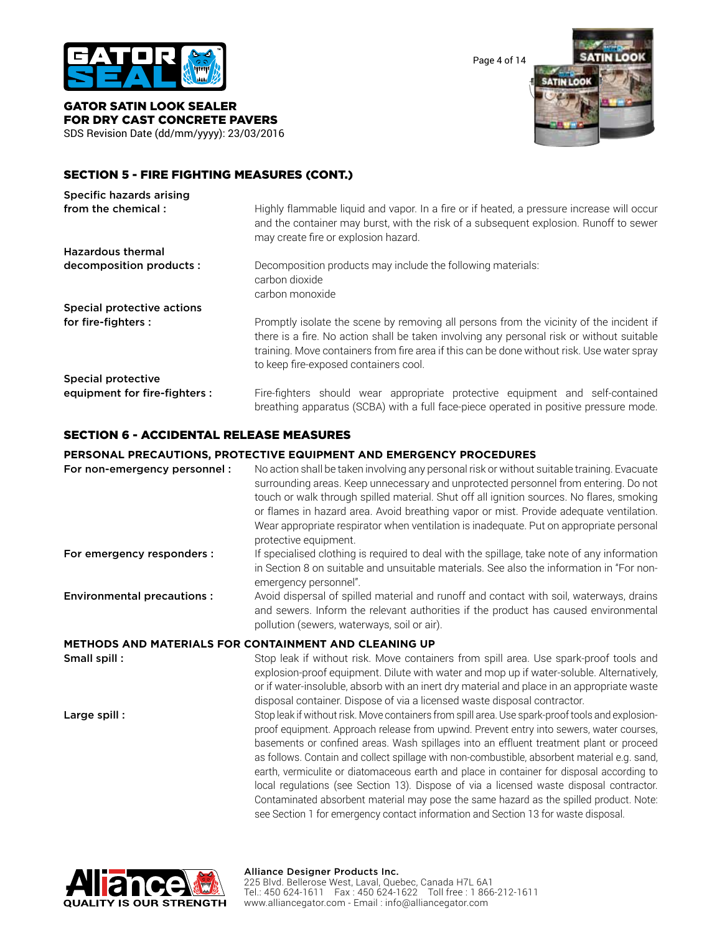

Page 4 of 14



GATOR SATIN LOOK SEALER FOR DRY CAST CONCRETE PAVERS SDS Revision Date (dd/mm/yyyy): 23/03/2016

## SECTION 5 - FIRE FIGHTING MEASURES (CONT.)

| Specific hazards arising      |                                                                                                                                                                                                                                                                                                                             |
|-------------------------------|-----------------------------------------------------------------------------------------------------------------------------------------------------------------------------------------------------------------------------------------------------------------------------------------------------------------------------|
| from the chemical:            | Highly flammable liquid and vapor. In a fire or if heated, a pressure increase will occur<br>and the container may burst, with the risk of a subsequent explosion. Runoff to sewer<br>may create fire or explosion hazard.                                                                                                  |
| <b>Hazardous thermal</b>      |                                                                                                                                                                                                                                                                                                                             |
| decomposition products :      | Decomposition products may include the following materials:<br>carbon dioxide<br>carbon monoxide                                                                                                                                                                                                                            |
| Special protective actions    |                                                                                                                                                                                                                                                                                                                             |
| for fire-fighters :           | Promptly isolate the scene by removing all persons from the vicinity of the incident if<br>there is a fire. No action shall be taken involving any personal risk or without suitable<br>training. Move containers from fire area if this can be done without risk. Use water spray<br>to keep fire-exposed containers cool. |
| <b>Special protective</b>     |                                                                                                                                                                                                                                                                                                                             |
| equipment for fire-fighters : | Fire-fighters should wear appropriate protective equipment and self-contained<br>breathing apparatus (SCBA) with a full face-piece operated in positive pressure mode.                                                                                                                                                      |

## SECTION 6 - ACCIDENTAL RELEASE MEASURES

#### **PERSONAL PRECAUTIONS, PROTECTIVE EQUIPMENT AND EMERGENCY PROCEDURES**

| For non-emergency personnel:      | No action shall be taken involving any personal risk or without suitable training. Evacuate<br>surrounding areas. Keep unnecessary and unprotected personnel from entering. Do not<br>touch or walk through spilled material. Shut off all ignition sources. No flares, smoking<br>or flames in hazard area. Avoid breathing vapor or mist. Provide adequate ventilation.<br>Wear appropriate respirator when ventilation is inadequate. Put on appropriate personal<br>protective equipment.                                                                                    |
|-----------------------------------|----------------------------------------------------------------------------------------------------------------------------------------------------------------------------------------------------------------------------------------------------------------------------------------------------------------------------------------------------------------------------------------------------------------------------------------------------------------------------------------------------------------------------------------------------------------------------------|
| For emergency responders :        | If specialised clothing is required to deal with the spillage, take note of any information<br>in Section 8 on suitable and unsuitable materials. See also the information in "For non-<br>emergency personnel".                                                                                                                                                                                                                                                                                                                                                                 |
| <b>Environmental precautions:</b> | Avoid dispersal of spilled material and runoff and contact with soil, waterways, drains<br>and sewers. Inform the relevant authorities if the product has caused environmental<br>pollution (sewers, waterways, soil or air).                                                                                                                                                                                                                                                                                                                                                    |
|                                   | <b>METHODS AND MATERIALS FOR CONTAINMENT AND CLEANING UP</b>                                                                                                                                                                                                                                                                                                                                                                                                                                                                                                                     |
| Small spill:                      | Stop leak if without risk. Move containers from spill area. Use spark-proof tools and<br>explosion-proof equipment. Dilute with water and mop up if water-soluble. Alternatively,<br>or if water-insoluble, absorb with an inert dry material and place in an appropriate waste<br>disposal container. Dispose of via a licensed waste disposal contractor.                                                                                                                                                                                                                      |
| Large spill:                      | Stop leak if without risk. Move containers from spill area. Use spark-proof tools and explosion-<br>proof equipment. Approach release from upwind. Prevent entry into sewers, water courses,<br>basements or confined areas. Wash spillages into an effluent treatment plant or proceed<br>as follows. Contain and collect spillage with non-combustible, absorbent material e.g. sand,<br>earth, vermiculite or diatomaceous earth and place in container for disposal according to<br>local regulations (see Section 13). Dispose of via a licensed waste disposal contractor. |



#### Alliance Designer Products Inc. 225 Blvd. Bellerose West, Laval, Quebec, Canada H7L 6A1

Tel.: 450 624-1611 Fax : 450 624-1622 Toll free : 1 866-212-1611 www.alliancegator.com - Email : info@alliancegator.com

Contaminated absorbent material may pose the same hazard as the spilled product. Note: see Section 1 for emergency contact information and Section 13 for waste disposal.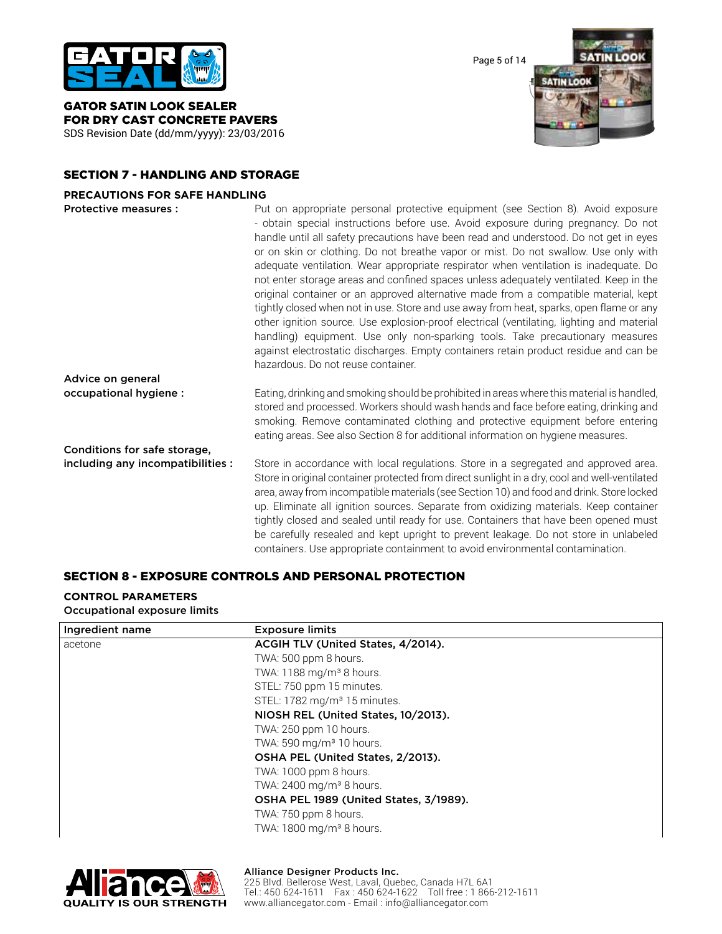

GATOR SATIN LOOK SEALER FOR DRY CAST CONCRETE PAVERS SDS Revision Date (dd/mm/yyyy): 23/03/2016 Page 5 of 14



## SECTION 7 - HANDLING AND STORAGE

#### **PRECAUTIONS FOR SAFE HANDLING**

| Protective measures :             | Put on appropriate personal protective equipment (see Section 8). Avoid exposure<br>- obtain special instructions before use. Avoid exposure during pregnancy. Do not<br>handle until all safety precautions have been read and understood. Do not get in eyes<br>or on skin or clothing. Do not breathe vapor or mist. Do not swallow. Use only with<br>adequate ventilation. Wear appropriate respirator when ventilation is inadequate. Do<br>not enter storage areas and confined spaces unless adequately ventilated. Keep in the<br>original container or an approved alternative made from a compatible material, kept<br>tightly closed when not in use. Store and use away from heat, sparks, open flame or any<br>other ignition source. Use explosion-proof electrical (ventilating, lighting and material<br>handling) equipment. Use only non-sparking tools. Take precautionary measures<br>against electrostatic discharges. Empty containers retain product residue and can be |
|-----------------------------------|------------------------------------------------------------------------------------------------------------------------------------------------------------------------------------------------------------------------------------------------------------------------------------------------------------------------------------------------------------------------------------------------------------------------------------------------------------------------------------------------------------------------------------------------------------------------------------------------------------------------------------------------------------------------------------------------------------------------------------------------------------------------------------------------------------------------------------------------------------------------------------------------------------------------------------------------------------------------------------------------|
|                                   | hazardous. Do not reuse container.                                                                                                                                                                                                                                                                                                                                                                                                                                                                                                                                                                                                                                                                                                                                                                                                                                                                                                                                                             |
| Advice on general                 |                                                                                                                                                                                                                                                                                                                                                                                                                                                                                                                                                                                                                                                                                                                                                                                                                                                                                                                                                                                                |
| occupational hygiene :            | Eating, drinking and smoking should be prohibited in areas where this material is handled,<br>stored and processed. Workers should wash hands and face before eating, drinking and<br>smoking. Remove contaminated clothing and protective equipment before entering<br>eating areas. See also Section 8 for additional information on hygiene measures.                                                                                                                                                                                                                                                                                                                                                                                                                                                                                                                                                                                                                                       |
| Conditions for safe storage,      |                                                                                                                                                                                                                                                                                                                                                                                                                                                                                                                                                                                                                                                                                                                                                                                                                                                                                                                                                                                                |
| including any incompatibilities : | Store in accordance with local regulations. Store in a segregated and approved area.<br>Store in original container protected from direct sunlight in a dry, cool and well-ventilated<br>area, away from incompatible materials (see Section 10) and food and drink. Store locked<br>up. Eliminate all ignition sources. Separate from oxidizing materials. Keep container<br>tightly closed and sealed until ready for use. Containers that have been opened must<br>be carefully resealed and kept upright to prevent leakage. Do not store in unlabeled                                                                                                                                                                                                                                                                                                                                                                                                                                     |

## SECTION 8 - EXPOSURE CONTROLS AND PERSONAL PROTECTION

#### **CONTROL PARAMETERS**

Occupational exposure limits

| Ingredient name | <b>Exposure limits</b>                   |  |  |
|-----------------|------------------------------------------|--|--|
| acetone         | ACGIH TLV (United States, 4/2014).       |  |  |
|                 | TWA: 500 ppm 8 hours.                    |  |  |
|                 | TWA: 1188 mg/m <sup>3</sup> 8 hours.     |  |  |
|                 | STEL: 750 ppm 15 minutes.                |  |  |
|                 | STEL: 1782 mg/m <sup>3</sup> 15 minutes. |  |  |
|                 | NIOSH REL (United States, 10/2013).      |  |  |
|                 | TWA: 250 ppm 10 hours.                   |  |  |
|                 | TWA: 590 mg/m <sup>3</sup> 10 hours.     |  |  |
|                 | OSHA PEL (United States, 2/2013).        |  |  |
|                 | TWA: 1000 ppm 8 hours.                   |  |  |
|                 | TWA: 2400 mg/m <sup>3</sup> 8 hours.     |  |  |
|                 | OSHA PEL 1989 (United States, 3/1989).   |  |  |
|                 | TWA: 750 ppm 8 hours.                    |  |  |
|                 | TWA: 1800 mg/m <sup>3</sup> 8 hours.     |  |  |

containers. Use appropriate containment to avoid environmental contamination.

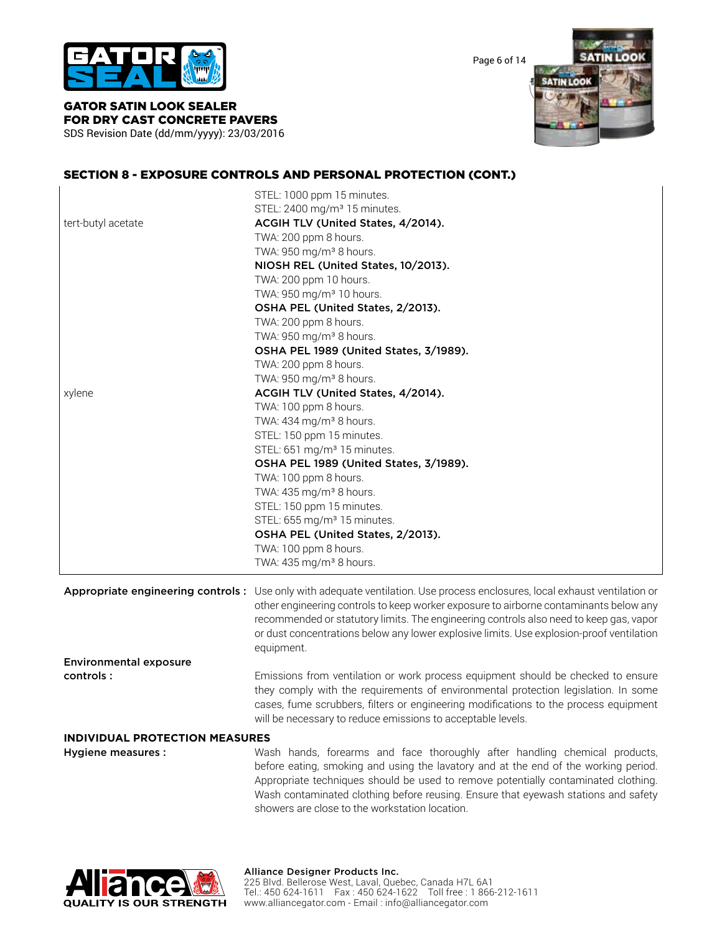

Page 6 of 14

**SATIN LOOK SATIN LOOK** 

#### GATOR SATIN LOOK SEALER FOR DRY CAST CONCRETE PAVERS SDS Revision Date (dd/mm/yyyy): 23/03/2016

SECTION 8 - EXPOSURE CONTROLS AND PERSONAL PROTECTION (CONT.)

|                                       | STEL: 1000 ppm 15 minutes.                                                                                                 |  |  |  |  |
|---------------------------------------|----------------------------------------------------------------------------------------------------------------------------|--|--|--|--|
|                                       | STEL: 2400 mg/m <sup>3</sup> 15 minutes.                                                                                   |  |  |  |  |
| tert-butyl acetate                    | ACGIH TLV (United States, 4/2014).                                                                                         |  |  |  |  |
|                                       | TWA: 200 ppm 8 hours.                                                                                                      |  |  |  |  |
|                                       | TWA: 950 mg/m <sup>3</sup> 8 hours.                                                                                        |  |  |  |  |
|                                       | NIOSH REL (United States, 10/2013).                                                                                        |  |  |  |  |
|                                       | TWA: 200 ppm 10 hours.                                                                                                     |  |  |  |  |
|                                       | TWA: 950 mg/m <sup>3</sup> 10 hours.                                                                                       |  |  |  |  |
|                                       | OSHA PEL (United States, 2/2013).                                                                                          |  |  |  |  |
|                                       | TWA: 200 ppm 8 hours.                                                                                                      |  |  |  |  |
|                                       | TWA: 950 mg/m <sup>3</sup> 8 hours.                                                                                        |  |  |  |  |
|                                       | OSHA PEL 1989 (United States, 3/1989).                                                                                     |  |  |  |  |
|                                       | TWA: 200 ppm 8 hours.                                                                                                      |  |  |  |  |
|                                       | TWA: 950 mg/m <sup>3</sup> 8 hours.                                                                                        |  |  |  |  |
| xylene                                | ACGIH TLV (United States, 4/2014).                                                                                         |  |  |  |  |
|                                       | TWA: 100 ppm 8 hours.                                                                                                      |  |  |  |  |
|                                       | TWA: 434 mg/m <sup>3</sup> 8 hours.                                                                                        |  |  |  |  |
|                                       | STEL: 150 ppm 15 minutes.                                                                                                  |  |  |  |  |
|                                       | STEL: 651 mg/m <sup>3</sup> 15 minutes.                                                                                    |  |  |  |  |
|                                       | OSHA PEL 1989 (United States, 3/1989).<br>TWA: 100 ppm 8 hours.                                                            |  |  |  |  |
|                                       |                                                                                                                            |  |  |  |  |
|                                       | TWA: 435 mg/m <sup>3</sup> 8 hours.                                                                                        |  |  |  |  |
|                                       | STEL: 150 ppm 15 minutes.                                                                                                  |  |  |  |  |
|                                       | STEL: 655 mg/m <sup>3</sup> 15 minutes.                                                                                    |  |  |  |  |
|                                       | OSHA PEL (United States, 2/2013).                                                                                          |  |  |  |  |
|                                       | TWA: 100 ppm 8 hours.                                                                                                      |  |  |  |  |
|                                       | TWA: 435 mg/m <sup>3</sup> 8 hours.                                                                                        |  |  |  |  |
|                                       |                                                                                                                            |  |  |  |  |
|                                       | Appropriate engineering controls: Use only with adequate ventilation. Use process enclosures, local exhaust ventilation or |  |  |  |  |
|                                       | other engineering controls to keep worker exposure to airborne contaminants below any                                      |  |  |  |  |
|                                       | recommended or statutory limits. The engineering controls also need to keep gas, vapor                                     |  |  |  |  |
|                                       | or dust concentrations below any lower explosive limits. Use explosion-proof ventilation                                   |  |  |  |  |
|                                       | equipment.                                                                                                                 |  |  |  |  |
| <b>Environmental exposure</b>         |                                                                                                                            |  |  |  |  |
| controls:                             | Emissions from ventilation or work process equipment should be checked to ensure                                           |  |  |  |  |
|                                       | they comply with the requirements of environmental protection legislation. In some                                         |  |  |  |  |
|                                       | cases, fume scrubbers, filters or engineering modifications to the process equipment                                       |  |  |  |  |
|                                       |                                                                                                                            |  |  |  |  |
|                                       | will be necessary to reduce emissions to acceptable levels.                                                                |  |  |  |  |
| <b>INDIVIDUAL PROTECTION MEASURES</b> |                                                                                                                            |  |  |  |  |
| Hygiene measures :                    | Wash hands, forearms and face thoroughly after handling chemical products,                                                 |  |  |  |  |
|                                       | before eating, smoking and using the lavatory and at the end of the working period.                                        |  |  |  |  |
|                                       | Appropriate techniques should be used to remove potentially contaminated clothing.                                         |  |  |  |  |
|                                       | Wash contaminated clothing before reusing. Ensure that eyewash stations and safety                                         |  |  |  |  |



showers are close to the workstation location.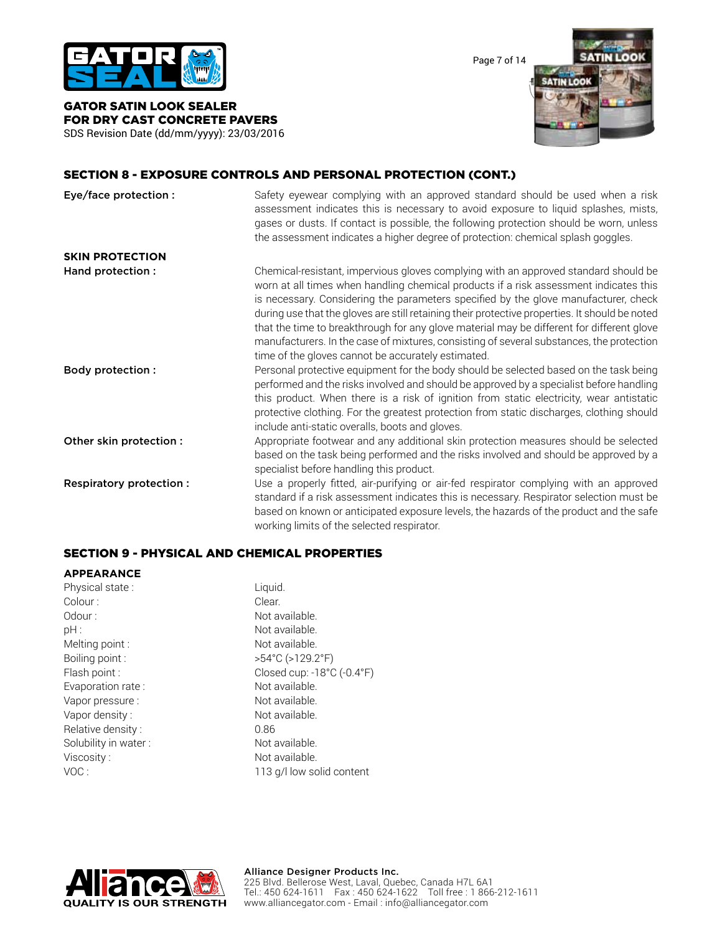

Page 7 of 14



#### GATOR SATIN LOOK SEALER FOR DRY CAST CONCRETE PAVERS SDS Revision Date (dd/mm/yyyy): 23/03/2016

## SECTION 8 - EXPOSURE CONTROLS AND PERSONAL PROTECTION (CONT.)

| Eye/face protection :    | Safety eyewear complying with an approved standard should be used when a risk<br>assessment indicates this is necessary to avoid exposure to liquid splashes, mists,<br>gases or dusts. If contact is possible, the following protection should be worn, unless<br>the assessment indicates a higher degree of protection: chemical splash goggles.                                                                                                                                                                                                                                                                  |
|--------------------------|----------------------------------------------------------------------------------------------------------------------------------------------------------------------------------------------------------------------------------------------------------------------------------------------------------------------------------------------------------------------------------------------------------------------------------------------------------------------------------------------------------------------------------------------------------------------------------------------------------------------|
| <b>SKIN PROTECTION</b>   |                                                                                                                                                                                                                                                                                                                                                                                                                                                                                                                                                                                                                      |
| Hand protection :        | Chemical-resistant, impervious gloves complying with an approved standard should be<br>worn at all times when handling chemical products if a risk assessment indicates this<br>is necessary. Considering the parameters specified by the glove manufacturer, check<br>during use that the gloves are still retaining their protective properties. It should be noted<br>that the time to breakthrough for any glove material may be different for different glove<br>manufacturers. In the case of mixtures, consisting of several substances, the protection<br>time of the gloves cannot be accurately estimated. |
| <b>Body protection:</b>  | Personal protective equipment for the body should be selected based on the task being<br>performed and the risks involved and should be approved by a specialist before handling<br>this product. When there is a risk of ignition from static electricity, wear antistatic<br>protective clothing. For the greatest protection from static discharges, clothing should<br>include anti-static overalls, boots and gloves.                                                                                                                                                                                           |
| Other skin protection :  | Appropriate footwear and any additional skin protection measures should be selected<br>based on the task being performed and the risks involved and should be approved by a<br>specialist before handling this product.                                                                                                                                                                                                                                                                                                                                                                                              |
| Respiratory protection : | Use a properly fitted, air-purifying or air-fed respirator complying with an approved<br>standard if a risk assessment indicates this is necessary. Respirator selection must be<br>based on known or anticipated exposure levels, the hazards of the product and the safe<br>working limits of the selected respirator.                                                                                                                                                                                                                                                                                             |

## SECTION 9 - PHYSICAL AND CHEMICAL PROPERTIES

#### **APPEARANCE**

| Liquid.                               |
|---------------------------------------|
| Clear.                                |
| Not available.                        |
| Not available.                        |
| Not available.                        |
| $>54^{\circ}$ C ( $>129.2^{\circ}$ F) |
| Closed cup: -18°C (-0.4°F)            |
| Not available.                        |
| Not available.                        |
| Not available.                        |
| 0.86                                  |
| Not available.                        |
| Not available.                        |
| 113 g/l low solid content             |
|                                       |

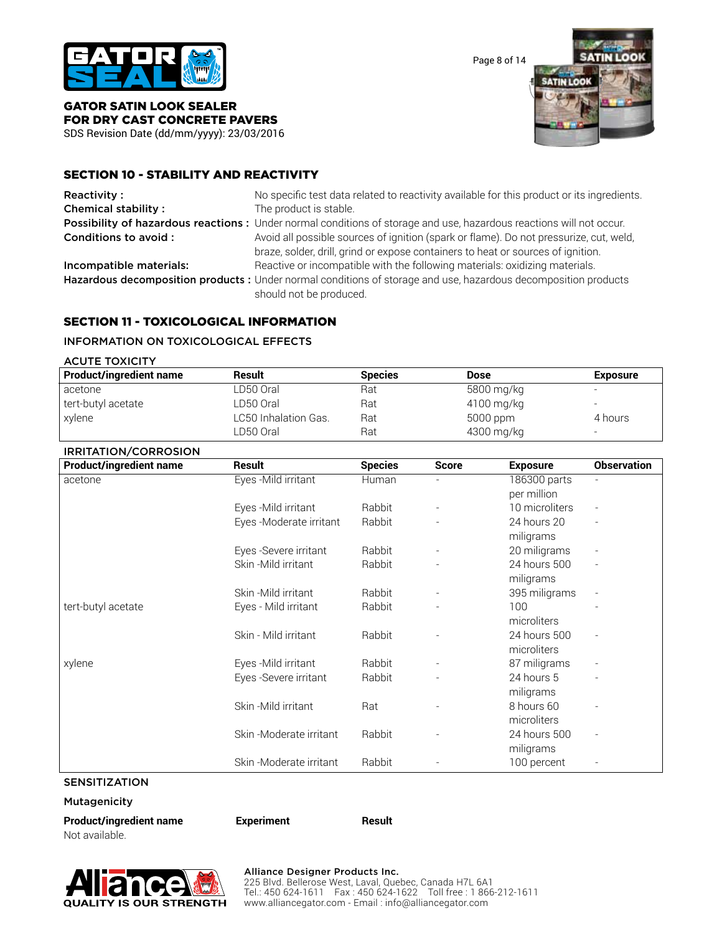

Page 8 of 14



## GATOR SATIN LOOK SEALER FOR DRY CAST CONCRETE PAVERS

SDS Revision Date (dd/mm/yyyy): 23/03/2016

## SECTION 10 - STABILITY AND REACTIVITY

| Reactivity:                | No specific test data related to reactivity available for this product or its ingredients.                                                                                 |
|----------------------------|----------------------------------------------------------------------------------------------------------------------------------------------------------------------------|
| <b>Chemical stability:</b> | The product is stable.                                                                                                                                                     |
|                            | Possibility of hazardous reactions: Under normal conditions of storage and use, hazardous reactions will not occur.                                                        |
| Conditions to avoid :      | Avoid all possible sources of ignition (spark or flame). Do not pressurize, cut, weld,<br>braze, solder, drill, grind or expose containers to heat or sources of ignition. |
| Incompatible materials:    | Reactive or incompatible with the following materials: oxidizing materials.                                                                                                |
|                            | Hazardous decomposition products : Under normal conditions of storage and use, hazardous decomposition products<br>should not be produced.                                 |

## SECTION 11 - TOXICOLOGICAL INFORMATION

#### INFORMATION ON TOXICOLOGICAL EFFECTS

| <b>ACUTE TOXICITY</b>          |                      |                |             |                          |
|--------------------------------|----------------------|----------------|-------------|--------------------------|
| <b>Product/ingredient name</b> | Result               | <b>Species</b> | <b>Dose</b> | <b>Exposure</b>          |
| acetone                        | LD50 Oral            | Rat            | 5800 mg/kg  | $\overline{a}$           |
| tert-butyl acetate             | LD50 Oral            | Rat            | 4100 mg/kg  | $\overline{\phantom{a}}$ |
| xylene                         | LC50 Inhalation Gas. | Rat            | 5000 ppm    | 4 hours                  |
|                                | LD50 Oral            | Rat            | 4300 mg/kg  | $\overline{\phantom{a}}$ |

## IRRITATION/CORROSION

| <b>Product/ingredient name</b> | <b>Result</b>           | <b>Species</b> | <b>Score</b> | <b>Exposure</b> | <b>Observation</b>       |
|--------------------------------|-------------------------|----------------|--------------|-----------------|--------------------------|
| acetone                        | Eyes - Mild irritant    | Human          |              | 186300 parts    | $\overline{\phantom{a}}$ |
|                                |                         |                |              | per million     |                          |
|                                | Eyes - Mild irritant    | Rabbit         |              | 10 microliters  |                          |
|                                | Eyes -Moderate irritant | Rabbit         |              | 24 hours 20     |                          |
|                                |                         |                |              | miligrams       |                          |
|                                | Eyes - Severe irritant  | Rabbit         |              | 20 miligrams    |                          |
|                                | Skin - Mild irritant    | Rabbit         |              | 24 hours 500    | $\overline{\phantom{a}}$ |
|                                |                         |                |              | miligrams       |                          |
|                                | Skin - Mild irritant    | Rabbit         |              | 395 miligrams   |                          |
| tert-butyl acetate             | Eyes - Mild irritant    | Rabbit         |              | 100             |                          |
|                                |                         |                |              | microliters     |                          |
|                                | Skin - Mild irritant    | Rabbit         |              | 24 hours 500    |                          |
|                                |                         |                |              | microliters     |                          |
| xylene                         | Eyes - Mild irritant    | Rabbit         |              | 87 miligrams    |                          |
|                                | Eyes -Severe irritant   | Rabbit         |              | 24 hours 5      |                          |
|                                |                         |                |              | miligrams       |                          |
|                                | Skin-Mild irritant      | Rat            |              | 8 hours 60      |                          |
|                                |                         |                |              | microliters     |                          |
|                                | Skin-Moderate irritant  | Rabbit         |              | 24 hours 500    | $\overline{\phantom{a}}$ |
|                                |                         |                |              | miligrams       |                          |
|                                | Skin-Moderate irritant  | Rabbit         |              | 100 percent     |                          |

## SENSITIZATION

Mutagenicity

**Product/ingredient name Experiment Result** Not available.

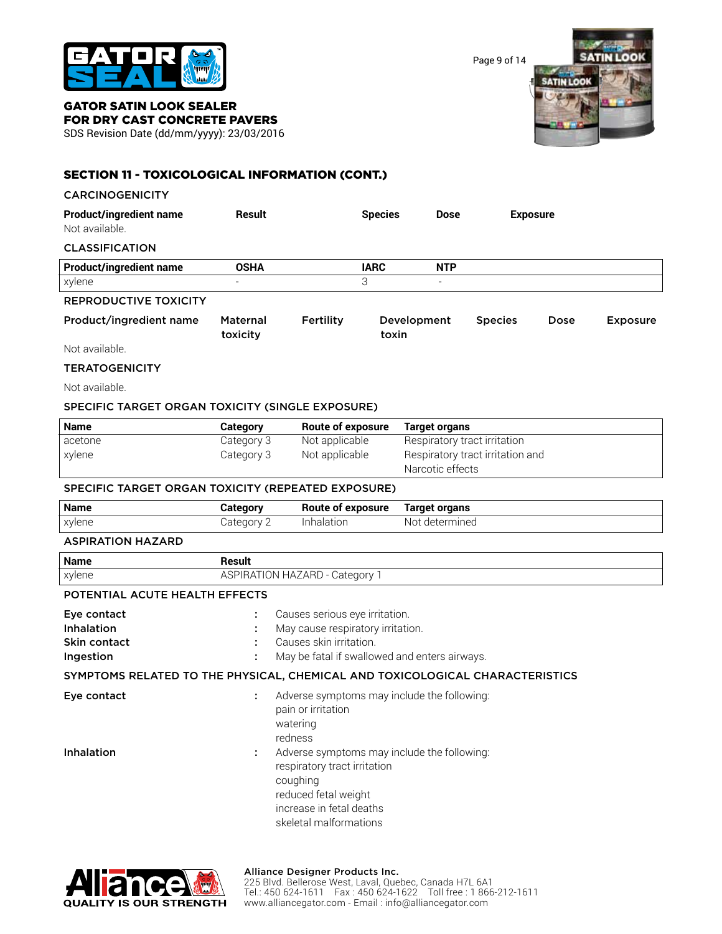

Page 9 of 14



#### GATOR SATIN LOOK SEALER FOR DRY CAST CONCRETE PAVERS

SDS Revision Date (dd/mm/yyyy): 23/03/2016

# SECTION 11 - TOXICOLOGICAL INFORMATION (CONT.)

#### CARCINOGENICITY

| <b>Product/ingredient name</b><br>Not available. | Result                   |           | <b>Species</b>       | <b>Dose</b>              |                | <b>Exposure</b> |                 |
|--------------------------------------------------|--------------------------|-----------|----------------------|--------------------------|----------------|-----------------|-----------------|
| <b>CLASSIFICATION</b>                            |                          |           |                      |                          |                |                 |                 |
| <b>Product/ingredient name</b>                   | <b>OSHA</b>              |           | <b>IARC</b>          | <b>NTP</b>               |                |                 |                 |
| xylene                                           | $\overline{\phantom{0}}$ |           | 3                    | $\overline{\phantom{a}}$ |                |                 |                 |
| <b>REPRODUCTIVE TOXICITY</b>                     |                          |           |                      |                          |                |                 |                 |
| Product/ingredient name                          | Maternal<br>toxicity     | Fertility | Development<br>toxin |                          | <b>Species</b> | Dose            | <b>Exposure</b> |
| Not available.                                   |                          |           |                      |                          |                |                 |                 |

#### **TERATOGENICITY**

Not available.

#### SPECIFIC TARGET ORGAN TOXICITY (SINGLE EXPOSURE)

| Name    | Category   | Route of exposure | Target organs                                        |
|---------|------------|-------------------|------------------------------------------------------|
| acetone | Category 3 | Not applicable    | Respiratory tract irritation                         |
| xylene  | Category 3 | Not applicable    | Respiratory tract irritation and<br>Narcotic effects |

#### SPECIFIC TARGET ORGAN TOXICITY (REPEATED EXPOSURE)

| <b>Name</b> | Category | Route of exposure | Target organs     |
|-------------|----------|-------------------|-------------------|
| xylene      | Category | Inhalation        | determined<br>Not |

#### ASPIRATION HAZARD

| <b>Name</b>                                            | Result                                                                                                                                           |
|--------------------------------------------------------|--------------------------------------------------------------------------------------------------------------------------------------------------|
| xylene                                                 | <b>ASPIRATION HAZARD - Category 1</b>                                                                                                            |
| POTENTIAL ACUTE HEALTH EFFECTS                         |                                                                                                                                                  |
| Eye contact<br>Inhalation<br>Skin contact<br>Ingestion | Causes serious eye irritation.<br>May cause respiratory irritation.<br>Causes skin irritation.<br>May be fatal if swallowed and enters airways.  |
|                                                        | SYMPTOMS RELATED TO THE PHYSICAL, CHEMICAL AND TOXICOLOGICAL CHARACTERISTICS                                                                     |
| Eye contact                                            | Adverse symptoms may include the following:<br>pain or irritation<br>watering<br>redness                                                         |
| <b>Inhalation</b>                                      | Adverse symptoms may include the following:<br>÷<br>respiratory tract irritation<br>coughing<br>reduced fetal weight<br>increase in fetal deaths |





#### Alliance Designer Products Inc.

skeletal malformations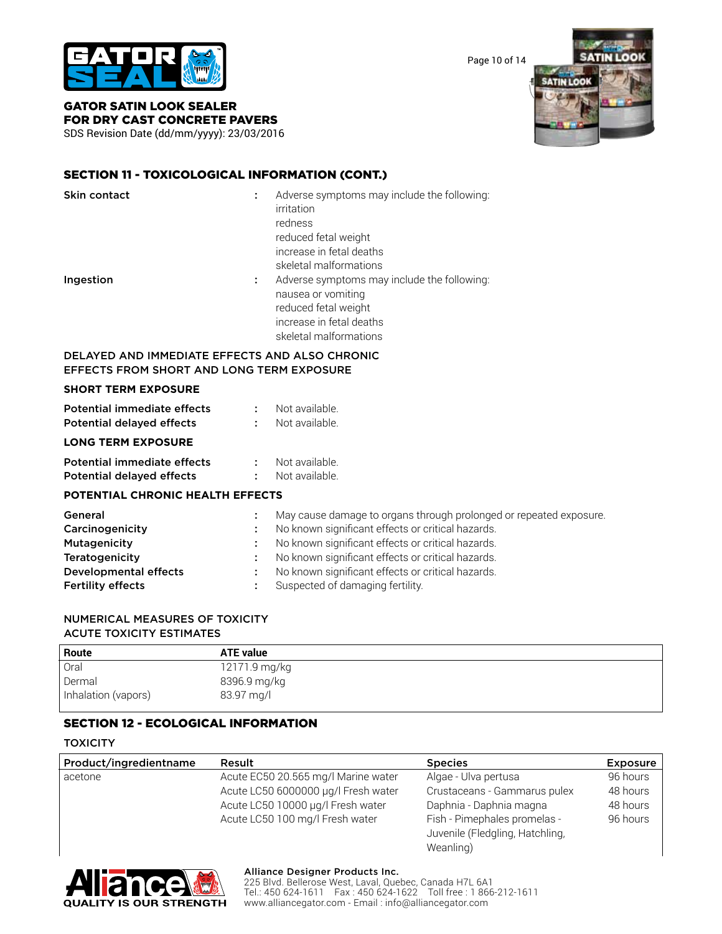

Page 10 of 14

**SATIN LOOK SATIN LOOK** 

GATOR SATIN LOOK SEALER FOR DRY CAST CONCRETE PAVERS

SDS Revision Date (dd/mm/yyyy): 23/03/2016

# SECTION 11 - TOXICOLOGICAL INFORMATION (CONT.)

| <b>Skin contact</b>                                                                                | ÷       | Adverse symptoms may include the following:<br>irritation<br>redness<br>reduced fetal weight<br>increase in fetal deaths<br>skeletal malformations |
|----------------------------------------------------------------------------------------------------|---------|----------------------------------------------------------------------------------------------------------------------------------------------------|
| Ingestion                                                                                          | t.      | Adverse symptoms may include the following:<br>nausea or vomiting<br>reduced fetal weight<br>increase in fetal deaths<br>skeletal malformations    |
| DELAYED AND IMMEDIATE EFFECTS AND ALSO CHRONIC<br><b>EFFECTS FROM SHORT AND LONG TERM EXPOSURE</b> |         |                                                                                                                                                    |
| <b>SHORT TERM EXPOSURE</b>                                                                         |         |                                                                                                                                                    |
| Potential immediate effects                                                                        | $1 - 1$ | Not available.                                                                                                                                     |
| <b>Potential delayed effects</b>                                                                   | ÷       | Not available.                                                                                                                                     |
| <b>LONG TERM EXPOSURE</b>                                                                          |         |                                                                                                                                                    |

| Potential immediate effects      | Not available. |
|----------------------------------|----------------|
| <b>Potential delayed effects</b> | Not available. |

## **POTENTIAL CHRONIC HEALTH EFFECTS**

| General                      | May cause damage to organs through prolonged or repeated exposure. |
|------------------------------|--------------------------------------------------------------------|
| Carcinogenicity              | No known significant effects or critical hazards.                  |
| Mutagenicity                 | No known significant effects or critical hazards.                  |
| Teratogenicity               | No known significant effects or critical hazards.                  |
| <b>Developmental effects</b> | No known significant effects or critical hazards.                  |
| <b>Fertility effects</b>     | Suspected of damaging fertility.                                   |

## NUMERICAL MEASURES OF TOXICITY ACUTE TOXICITY ESTIMATES

| Route               | <b>ATE value</b> |
|---------------------|------------------|
| Oral                | 12171.9 mg/kg    |
| Dermal              | 8396.9 mg/kg     |
| Inhalation (vapors) | 83.97 mg/l       |

## SECTION 12 - ECOLOGICAL INFORMATION

#### **TOXICITY**

| Product/ingredientname | Result                              | <b>Species</b>                  | <b>Exposure</b> |
|------------------------|-------------------------------------|---------------------------------|-----------------|
| acetone                | Acute EC50 20.565 mg/l Marine water | Algae - Ulva pertusa            | 96 hours        |
|                        | Acute LC50 6000000 µg/l Fresh water | Crustaceans - Gammarus pulex    | 48 hours        |
|                        | Acute LC50 10000 µg/l Fresh water   | Daphnia - Daphnia magna         | 48 hours        |
|                        | Acute LC50 100 mg/l Fresh water     | Fish - Pimephales promelas -    | 96 hours        |
|                        |                                     | Juvenile (Fledgling, Hatchling, |                 |
|                        |                                     | Weanling)                       |                 |



#### Alliance Designer Products Inc.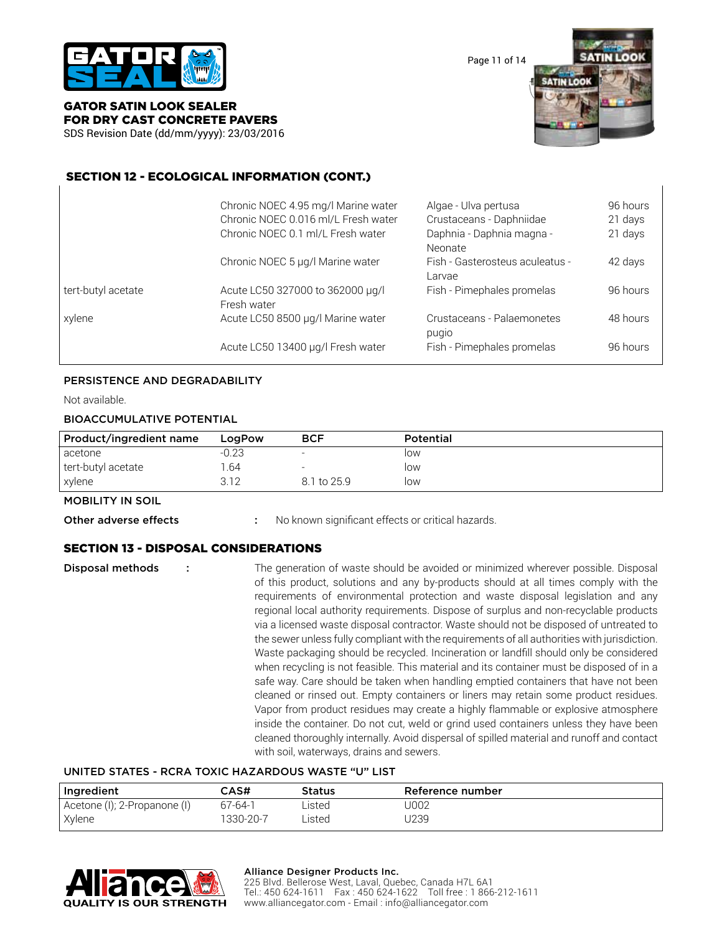

Page 11 of 14



## GATOR SATIN LOOK SEALER FOR DRY CAST CONCRETE PAVERS

SDS Revision Date (dd/mm/yyyy): 23/03/2016

## SECTION 12 - ECOLOGICAL INFORMATION (CONT.)

|                    | Chronic NOEC 4.95 mg/l Marine water<br>Chronic NOEC 0.016 ml/L Fresh water<br>Chronic NOEC 0.1 ml/L Fresh water | Algae - Ulva pertusa<br>Crustaceans - Daphniidae<br>Daphnia - Daphnia magna -<br>Neonate | 96 hours<br>21 days<br>21 days |
|--------------------|-----------------------------------------------------------------------------------------------------------------|------------------------------------------------------------------------------------------|--------------------------------|
|                    | Chronic NOEC 5 µg/l Marine water                                                                                | Fish - Gasterosteus aculeatus -<br>Larvae                                                | 42 days                        |
| tert-butyl acetate | Acute LC50 327000 to 362000 µg/l<br>Fresh water                                                                 | Fish - Pimephales promelas                                                               | 96 hours                       |
| xylene             | Acute LC50 8500 µg/l Marine water                                                                               | Crustaceans - Palaemonetes<br>pugio                                                      | 48 hours                       |
|                    | Acute LC50 13400 µg/l Fresh water                                                                               | Fish - Pimephales promelas                                                               | 96 hours                       |

#### PERSISTENCE AND DEGRADABILITY

Not available.

#### BIOACCUMULATIVE POTENTIAL

| Product/ingredient name | LogPow | <b>BCF</b>               | Potential |
|-------------------------|--------|--------------------------|-----------|
| acetone                 | -0.23  |                          | low       |
| tert-butyl acetate      | .64    | $\overline{\phantom{0}}$ | low       |
| xylene                  | 3.12   | 8.1 to 25.9              | low       |

#### MOBILITY IN SOIL

**Other adverse effects** : No known significant effects or critical hazards.

## SECTION 13 - DISPOSAL CONSIDERATIONS

**Disposal methods** : The generation of waste should be avoided or minimized wherever possible. Disposal of this product, solutions and any by-products should at all times comply with the requirements of environmental protection and waste disposal legislation and any regional local authority requirements. Dispose of surplus and non-recyclable products via a licensed waste disposal contractor. Waste should not be disposed of untreated to the sewer unless fully compliant with the requirements of all authorities with jurisdiction. Waste packaging should be recycled. Incineration or landfill should only be considered when recycling is not feasible. This material and its container must be disposed of in a safe way. Care should be taken when handling emptied containers that have not been cleaned or rinsed out. Empty containers or liners may retain some product residues. Vapor from product residues may create a highly flammable or explosive atmosphere inside the container. Do not cut, weld or grind used containers unless they have been cleaned thoroughly internally. Avoid dispersal of spilled material and runoff and contact with soil, waterways, drains and sewers.

#### UNITED STATES - RCRA TOXIC HAZARDOUS WASTE "U" LIST

| Ingredient                   | CAS#      | Status | <b>Reference number</b> |
|------------------------------|-----------|--------|-------------------------|
| Acetone (I); 2-Propanone (I) | 67-64-1   | Listed | J002                    |
| Xylene                       | 1330-20-7 | Listed | J239                    |



#### Alliance Designer Products Inc.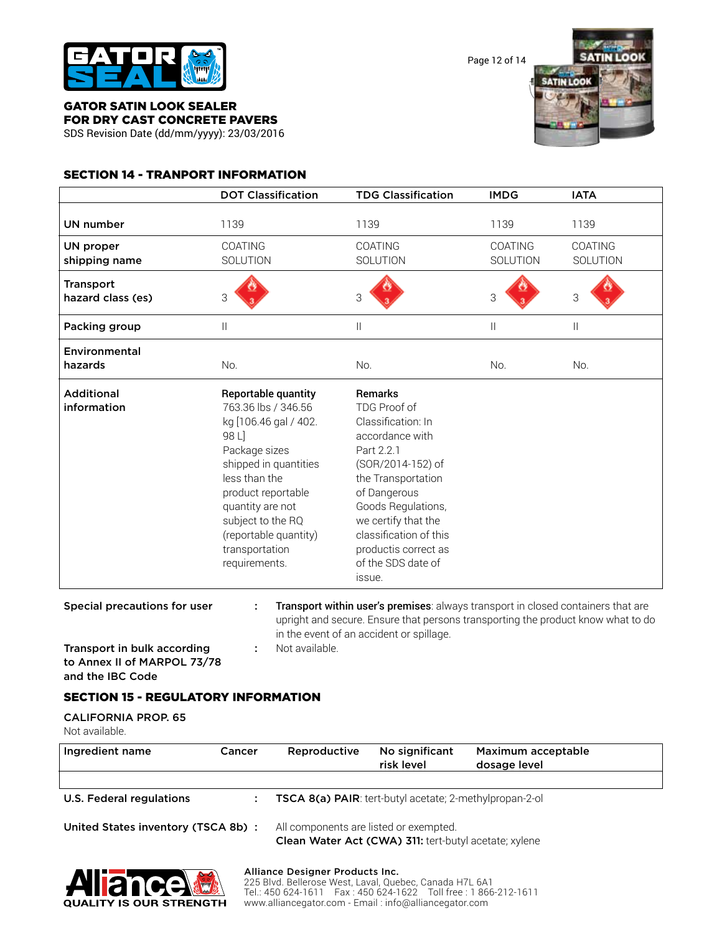

Page 12 of 14



#### GATOR SATIN LOOK SEALER FOR DRY CAST CONCRETE PAVERS

SDS Revision Date (dd/mm/yyyy): 23/03/2016

## SECTION 14 - TRANPORT INFORMATION

|                                       | <b>DOT Classification</b>                                                                                                                                                                                                                                          | <b>TDG Classification</b>                                                                                                                                                                                                                                                       | <b>IMDG</b>         | <b>IATA</b>         |
|---------------------------------------|--------------------------------------------------------------------------------------------------------------------------------------------------------------------------------------------------------------------------------------------------------------------|---------------------------------------------------------------------------------------------------------------------------------------------------------------------------------------------------------------------------------------------------------------------------------|---------------------|---------------------|
| UN number                             | 1139                                                                                                                                                                                                                                                               | 1139                                                                                                                                                                                                                                                                            | 1139                | 1139                |
| UN proper<br>shipping name            | COATING<br>SOLUTION                                                                                                                                                                                                                                                | <b>COATING</b><br>SOLUTION                                                                                                                                                                                                                                                      | COATING<br>SOLUTION | COATING<br>SOLUTION |
| <b>Transport</b><br>hazard class (es) | 3                                                                                                                                                                                                                                                                  | 3                                                                                                                                                                                                                                                                               | 3                   | 3                   |
| Packing group                         | $\mathbf{  }$                                                                                                                                                                                                                                                      | $\mathbf{  }$                                                                                                                                                                                                                                                                   | $\mathbf{  }$       | $\mathbf{  }$       |
| Environmental<br>hazards              | No.                                                                                                                                                                                                                                                                | No.                                                                                                                                                                                                                                                                             | No.                 | No.                 |
| <b>Additional</b><br>information      | Reportable quantity<br>763.36 lbs / 346.56<br>kg [106.46 gal / 402.<br>98 L]<br>Package sizes<br>shipped in quantities<br>less than the<br>product reportable<br>quantity are not<br>subject to the RQ<br>(reportable quantity)<br>transportation<br>requirements. | <b>Remarks</b><br>TDG Proof of<br>Classification: In<br>accordance with<br>Part 2.2.1<br>(SOR/2014-152) of<br>the Transportation<br>of Dangerous<br>Goods Regulations,<br>we certify that the<br>classification of this<br>productis correct as<br>of the SDS date of<br>issue. |                     |                     |

Special precautions for user : Transport within user's premises: always transport in closed containers that are upright and secure. Ensure that persons transporting the product know what to do in the event of an accident or spillage.

Transport in bulk according : Not available. to Annex II of MARPOL 73/78 and the IBC Code

## SECTION 15 - REGULATORY INFORMATION

CALIFORNIA PROP. 65 Not available.

| Ingredient name                     | <b>Cancer</b> | Reproductive                                                                                    | No significant<br>risk level | Maximum acceptable<br>dosage level |  |
|-------------------------------------|---------------|-------------------------------------------------------------------------------------------------|------------------------------|------------------------------------|--|
| U.S. Federal regulations            |               | <b>TSCA 8(a) PAIR:</b> tert-butyl acetate; 2-methylpropan-2-ol                                  |                              |                                    |  |
| United States inventory (TSCA 8b) : |               | All components are listed or exempted.<br>Clean Water Act (CWA) 311: tert-butyl acetate; xylene |                              |                                    |  |



#### Alliance Designer Products Inc.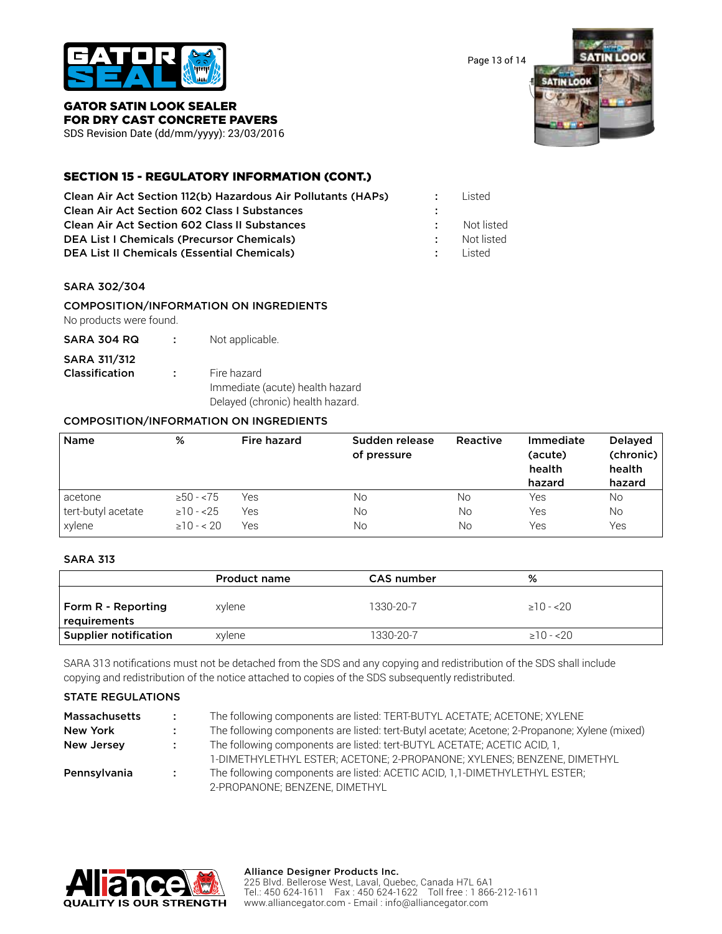

Page 13 of 14



#### GATOR SATIN LOOK SEALER FOR DRY CAST CONCRETE PAVERS

SDS Revision Date (dd/mm/yyyy): 23/03/2016

## SECTION 15 - REGULATORY INFORMATION (CONT.)

| Clean Air Act Section 112(b) Hazardous Air Pollutants (HAPs) |            | Listed     |
|--------------------------------------------------------------|------------|------------|
| <b>Clean Air Act Section 602 Class I Substances</b>          |            |            |
| <b>Clean Air Act Section 602 Class II Substances</b>         |            | Not listed |
| <b>DEA List I Chemicals (Precursor Chemicals)</b>            |            | Not listed |
| <b>DEA List II Chemicals (Essential Chemicals)</b>           | <b>A</b> 1 | l isted    |

## SARA 302/304

## COMPOSITION/INFORMATION ON INGREDIENTS

No products were found.

SARA 304 RQ : Not applicable.

## SARA 311/312

- **Classification :** Fire hazard
- - Immediate (acute) health hazard Delayed (chronic) health hazard.

## COMPOSITION/INFORMATION ON INGREDIENTS

| <b>Name</b>        | %               | Fire hazard | Sudden release<br>of pressure | Reactive | Immediate<br>(acute)<br>health<br>hazard | <b>Delayed</b><br>(chronic)<br>health<br>hazard |
|--------------------|-----------------|-------------|-------------------------------|----------|------------------------------------------|-------------------------------------------------|
| acetone            | $\geq 50 - 575$ | Yes         | No                            | No       | Yes                                      | No                                              |
| tert-butyl acetate | $\geq 10 - 25$  | Yes         | No                            | No       | Yes                                      | <b>No</b>                                       |
| xylene             | $\geq 10 - 20$  | Yes         | Νo                            | No       | Yes                                      | Yes                                             |

## SARA 313

|                                    | Product name | CAS number | %               |
|------------------------------------|--------------|------------|-----------------|
| Form R - Reporting<br>requirements | xylene       | 1330-20-7  | $>10 - 520$     |
| Supplier notification              | xylene       | 1330-20-7  | $\geq$ 10 - <20 |

SARA 313 notifications must not be detached from the SDS and any copying and redistribution of the SDS shall include copying and redistribution of the notice attached to copies of the SDS subsequently redistributed.

## STATE REGULATIONS

| <b>Massachusetts</b> | $\mathcal{L}$     | The following components are listed: TERT-BUTYL ACETATE; ACETONE; XYLENE                      |
|----------------------|-------------------|-----------------------------------------------------------------------------------------------|
| <b>New York</b>      |                   | The following components are listed: tert-Butyl acetate; Acetone; 2-Propanone; Xylene (mixed) |
| <b>New Jersey</b>    | - 100             | The following components are listed: tert-BUTYL ACETATE; ACETIC ACID, 1,                      |
|                      |                   | 1-DIMETHYLETHYL ESTER; ACETONE; 2-PROPANONE; XYLENES; BENZENE, DIMETHYL                       |
| Pennsylvania         | $\sim$ 100 $\sim$ | The following components are listed: ACETIC ACID, 1,1-DIMETHYLETHYL ESTER;                    |
|                      |                   | 2-PROPANONE; BENZENE, DIMETHYL                                                                |